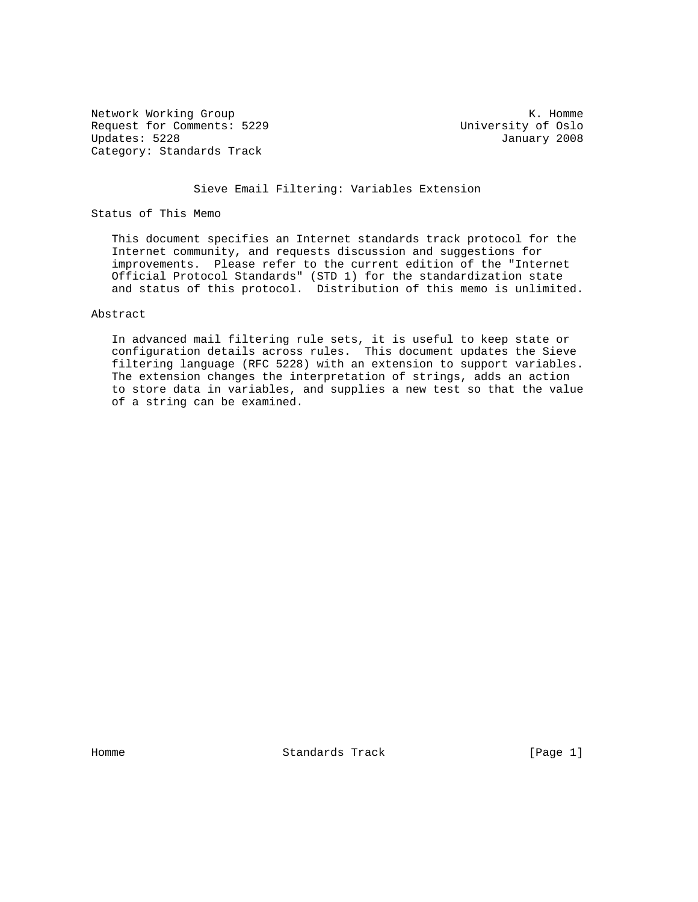Network Working Group and the set of the set of the set of the set of the set of the set of the set of the set of the set of the set of the set of the set of the set of the set of the set of the set of the set of the set o Request for Comments: 5229 University of Oslo<br>Updates: 5228 University of Oslo Category: Standards Track

January 2008

## Sieve Email Filtering: Variables Extension

Status of This Memo

 This document specifies an Internet standards track protocol for the Internet community, and requests discussion and suggestions for improvements. Please refer to the current edition of the "Internet Official Protocol Standards" (STD 1) for the standardization state and status of this protocol. Distribution of this memo is unlimited.

## Abstract

 In advanced mail filtering rule sets, it is useful to keep state or configuration details across rules. This document updates the Sieve filtering language (RFC 5228) with an extension to support variables. The extension changes the interpretation of strings, adds an action to store data in variables, and supplies a new test so that the value of a string can be examined.

Homme Standards Track [Page 1]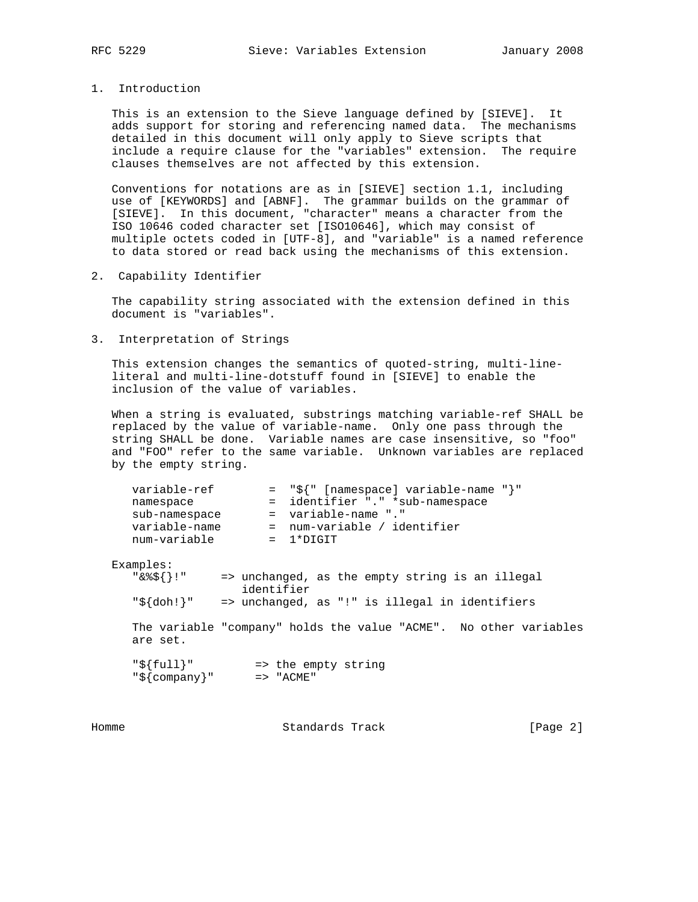1. Introduction

 This is an extension to the Sieve language defined by [SIEVE]. It adds support for storing and referencing named data. The mechanisms detailed in this document will only apply to Sieve scripts that include a require clause for the "variables" extension. The require clauses themselves are not affected by this extension.

 Conventions for notations are as in [SIEVE] section 1.1, including use of [KEYWORDS] and [ABNF]. The grammar builds on the grammar of [SIEVE]. In this document, "character" means a character from the ISO 10646 coded character set [ISO10646], which may consist of multiple octets coded in [UTF-8], and "variable" is a named reference to data stored or read back using the mechanisms of this extension.

2. Capability Identifier

 The capability string associated with the extension defined in this document is "variables".

3. Interpretation of Strings

 This extension changes the semantics of quoted-string, multi-line literal and multi-line-dotstuff found in [SIEVE] to enable the inclusion of the value of variables.

 When a string is evaluated, substrings matching variable-ref SHALL be replaced by the value of variable-name. Only one pass through the string SHALL be done. Variable names are case insensitive, so "foo" and "FOO" refer to the same variable. Unknown variables are replaced by the empty string.

| = "\${" [namespace] variable-name "}"<br>variable-ref<br>= identifier "." *sub-namespace<br>namespace<br>$=$ variable-name "."<br>sub-namespace<br>variable-name<br>= num-variable / identifier<br>num-variable<br>1*DIGIT<br>$\mathcal{L} = \mathcal{L}$ |
|-----------------------------------------------------------------------------------------------------------------------------------------------------------------------------------------------------------------------------------------------------------|
| Examples:<br>"&%\${}!"<br>=> unchanged, as the empty string is an illegal<br>identifier<br>"\${doh!}"<br>=> unchanged, as "!" is illegal in identifiers                                                                                                   |
| The variable "company" holds the value "ACME". No other variables<br>are set.                                                                                                                                                                             |
| $"\${full}"$<br>=> the empty string<br>$"\${company}$ " => "ACME"                                                                                                                                                                                         |

Homme Standards Track [Page 2]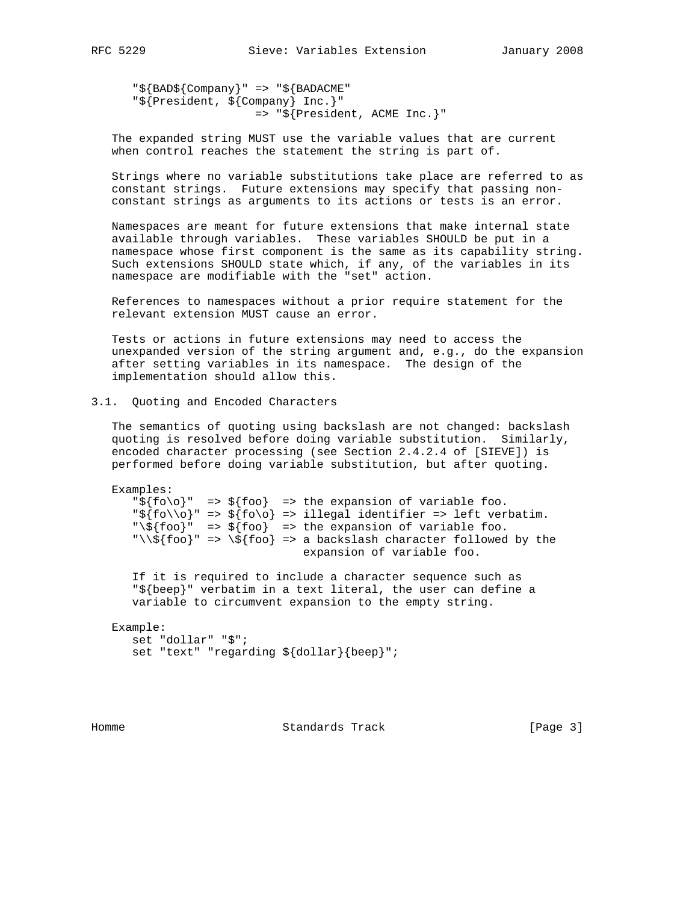"\${BAD\${Company}" => "\${BADACME" "\${President, \${Company} Inc.}" => "\${President, ACME Inc.}"

 The expanded string MUST use the variable values that are current when control reaches the statement the string is part of.

 Strings where no variable substitutions take place are referred to as constant strings. Future extensions may specify that passing non constant strings as arguments to its actions or tests is an error.

 Namespaces are meant for future extensions that make internal state available through variables. These variables SHOULD be put in a namespace whose first component is the same as its capability string. Such extensions SHOULD state which, if any, of the variables in its namespace are modifiable with the "set" action.

 References to namespaces without a prior require statement for the relevant extension MUST cause an error.

 Tests or actions in future extensions may need to access the unexpanded version of the string argument and, e.g., do the expansion after setting variables in its namespace. The design of the implementation should allow this.

## 3.1. Quoting and Encoded Characters

 The semantics of quoting using backslash are not changed: backslash quoting is resolved before doing variable substitution. Similarly, encoded character processing (see Section 2.4.2.4 of [SIEVE]) is performed before doing variable substitution, but after quoting.

```
 Examples:
    "\frac{1}{2} \left\{f \circ \circ\right\} => \frac{1}{2} => the expansion of variable foo.
    "\${fo\lozenge\" => \${fo\lo} => \text{ illegal identifier} => \text{left verbatim.}"\s{\text{foo}}" => \xi{foo} => the expansion of variable foo.
    "\backslash\s {\frak{so}}\" => \xi {\frak{foo}} => a backslash character followed by the
                                      expansion of variable foo.
```
 If it is required to include a character sequence such as "\${beep}" verbatim in a text literal, the user can define a variable to circumvent expansion to the empty string.

```
 Example:
   set "dollar" "$";
    set "text" "regarding ${dollar}{beep}";
```
Homme Standards Track [Page 3]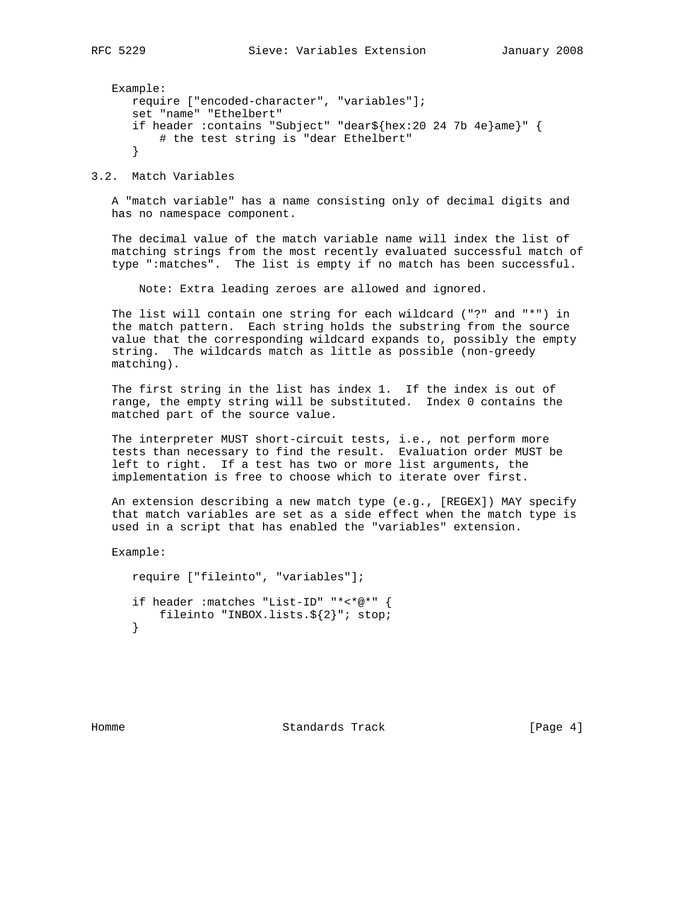```
 Example:
   require ["encoded-character", "variables"];
    set "name" "Ethelbert"
    if header :contains "Subject" "dear${hex:20 24 7b 4e}ame}" {
        # the test string is "dear Ethelbert"
    }
```
3.2. Match Variables

 A "match variable" has a name consisting only of decimal digits and has no namespace component.

 The decimal value of the match variable name will index the list of matching strings from the most recently evaluated successful match of type ":matches". The list is empty if no match has been successful.

Note: Extra leading zeroes are allowed and ignored.

 The list will contain one string for each wildcard ("?" and "\*") in the match pattern. Each string holds the substring from the source value that the corresponding wildcard expands to, possibly the empty string. The wildcards match as little as possible (non-greedy matching).

 The first string in the list has index 1. If the index is out of range, the empty string will be substituted. Index 0 contains the matched part of the source value.

 The interpreter MUST short-circuit tests, i.e., not perform more tests than necessary to find the result. Evaluation order MUST be left to right. If a test has two or more list arguments, the implementation is free to choose which to iterate over first.

 An extension describing a new match type (e.g., [REGEX]) MAY specify that match variables are set as a side effect when the match type is used in a script that has enabled the "variables" extension.

Example:

```
 require ["fileinto", "variables"];
 if header :matches "List-ID" "*<*@*" {
   fileinto "INBOX.lists.${2}"; stop;
 }
```
Homme Standards Track [Page 4]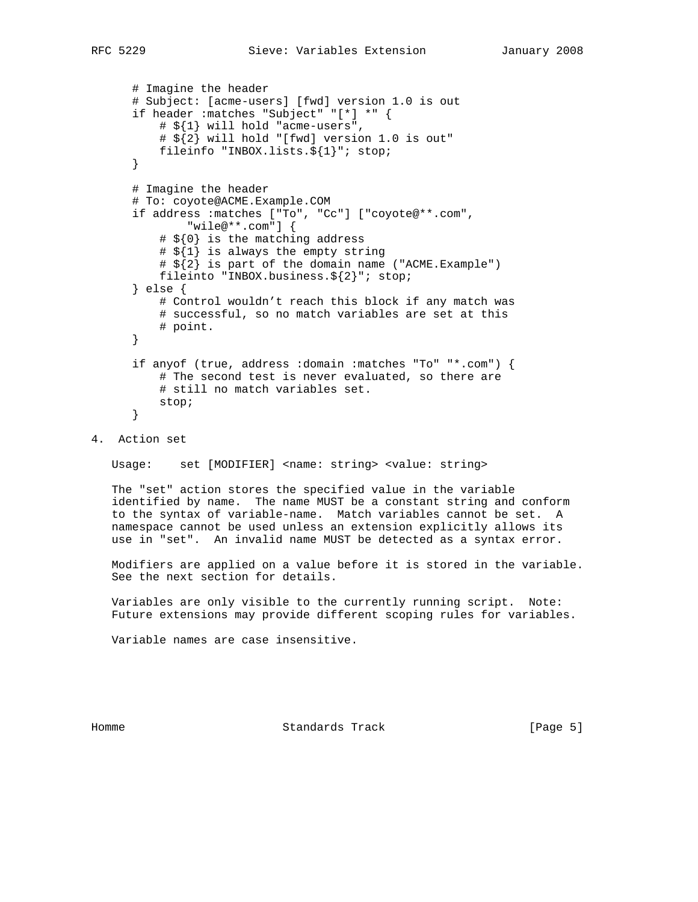```
 # Imagine the header
 # Subject: [acme-users] [fwd] version 1.0 is out
 if header :matches "Subject" "[*] *" {
     # ${1} will hold "acme-users",
     # ${2} will hold "[fwd] version 1.0 is out"
     fileinfo "INBOX.lists.${1}"; stop;
 }
 # Imagine the header
 # To: coyote@ACME.Example.COM
 if address :matches ["To", "Cc"] ["coyote@**.com",
         "wile@**.com"] {
     # ${0} is the matching address
     # ${1} is always the empty string
     # ${2} is part of the domain name ("ACME.Example")
     fileinto "INBOX.business.${2}"; stop;
 } else {
     # Control wouldn't reach this block if any match was
     # successful, so no match variables are set at this
     # point.
 }
 if anyof (true, address :domain :matches "To" "*.com") {
     # The second test is never evaluated, so there are
     # still no match variables set.
     stop;
 }
```
4. Action set

Usage: set [MODIFIER] <name: string> <value: string>

 The "set" action stores the specified value in the variable identified by name. The name MUST be a constant string and conform to the syntax of variable-name. Match variables cannot be set. A namespace cannot be used unless an extension explicitly allows its use in "set". An invalid name MUST be detected as a syntax error.

 Modifiers are applied on a value before it is stored in the variable. See the next section for details.

 Variables are only visible to the currently running script. Note: Future extensions may provide different scoping rules for variables.

Variable names are case insensitive.

Homme **Standards Track** [Page 5]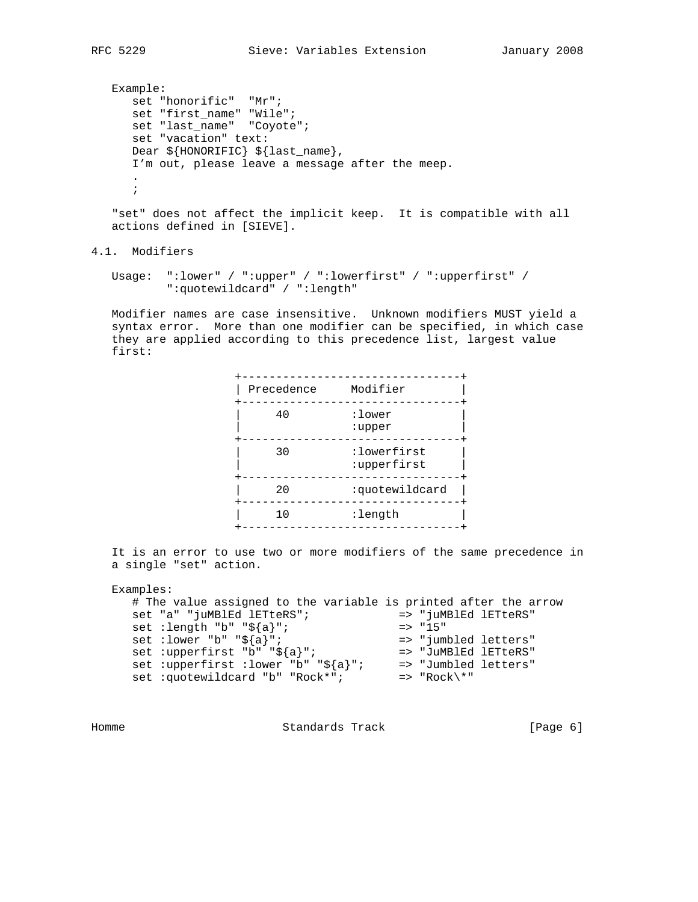```
 Example:
     set "honorific" "Mr";
      set "first_name" "Wile";
      set "last_name" "Coyote";
      set "vacation" text:
      Dear ${HONORIFIC} ${last_name},
      I'm out, please leave a message after the meep.
 .
      ;
```
 "set" does not affect the implicit keep. It is compatible with all actions defined in [SIEVE].

```
4.1. Modifiers
```

```
 Usage: ":lower" / ":upper" / ":lowerfirst" / ":upperfirst" /
         ":quotewildcard" / ":length"
```
 Modifier names are case insensitive. Unknown modifiers MUST yield a syntax error. More than one modifier can be specified, in which case they are applied according to this precedence list, largest value first:

| Precedence | Modifier                   |
|------------|----------------------------|
| 40         | :lower<br>:upper           |
| 30         | :lowerfirst<br>:upperfirst |
| 20         | :quotewildcard             |
| 10         | :length                    |
|            |                            |

 It is an error to use two or more modifiers of the same precedence in a single "set" action.

```
 Examples:
     # The value assigned to the variable is printed after the arrow
 set "a" "juMBlEd lETteRS"; => "juMBlEd lETteRS"
set :length "b" "\frac{2}{3}{a}"; => "15"
 set :lower "b" "${a}"; => "jumbled letters"
 set :upperfirst "b" "${a}"; => "JuMBlEd lETteRS"
 set :upperfirst :lower "b" "${a}"; => "Jumbled letters"
 set :quotewildcard "b" "Rock*"; => "Rock\*"
```
Homme Standards Track (Page 6)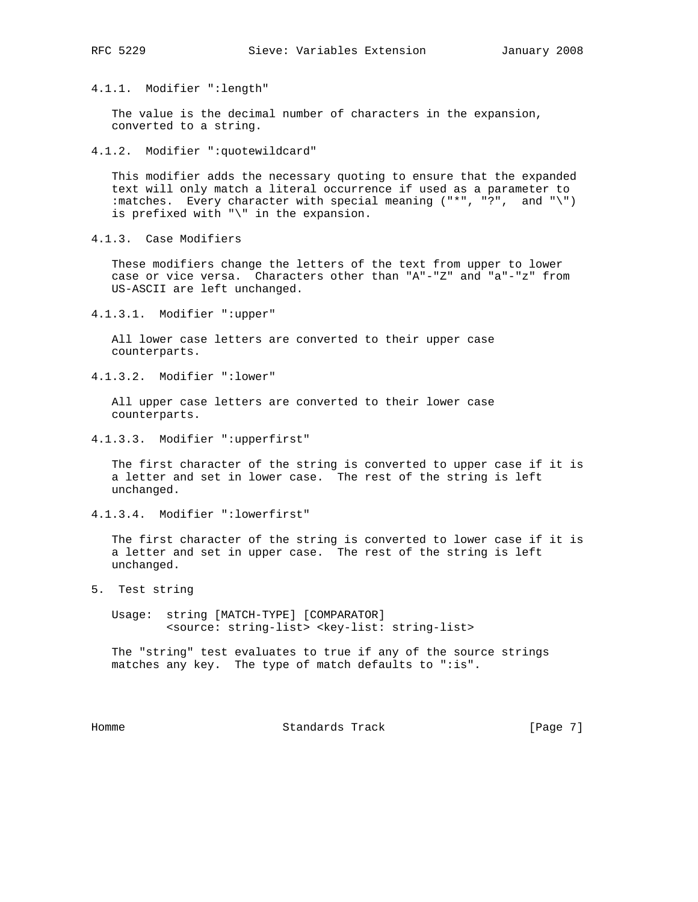4.1.1. Modifier ":length"

 The value is the decimal number of characters in the expansion, converted to a string.

4.1.2. Modifier ":quotewildcard"

 This modifier adds the necessary quoting to ensure that the expanded text will only match a literal occurrence if used as a parameter to :matches. Every character with special meaning ("\*", "?", and "\") is prefixed with "\" in the expansion.

4.1.3. Case Modifiers

 These modifiers change the letters of the text from upper to lower case or vice versa. Characters other than "A"-"Z" and "a"-"z" from US-ASCII are left unchanged.

4.1.3.1. Modifier ":upper"

 All lower case letters are converted to their upper case counterparts.

4.1.3.2. Modifier ":lower"

 All upper case letters are converted to their lower case counterparts.

4.1.3.3. Modifier ":upperfirst"

 The first character of the string is converted to upper case if it is a letter and set in lower case. The rest of the string is left unchanged.

4.1.3.4. Modifier ":lowerfirst"

 The first character of the string is converted to lower case if it is a letter and set in upper case. The rest of the string is left unchanged.

5. Test string

 Usage: string [MATCH-TYPE] [COMPARATOR] <source: string-list> <key-list: string-list>

 The "string" test evaluates to true if any of the source strings matches any key. The type of match defaults to ":is".

Homme **Standards Track** [Page 7]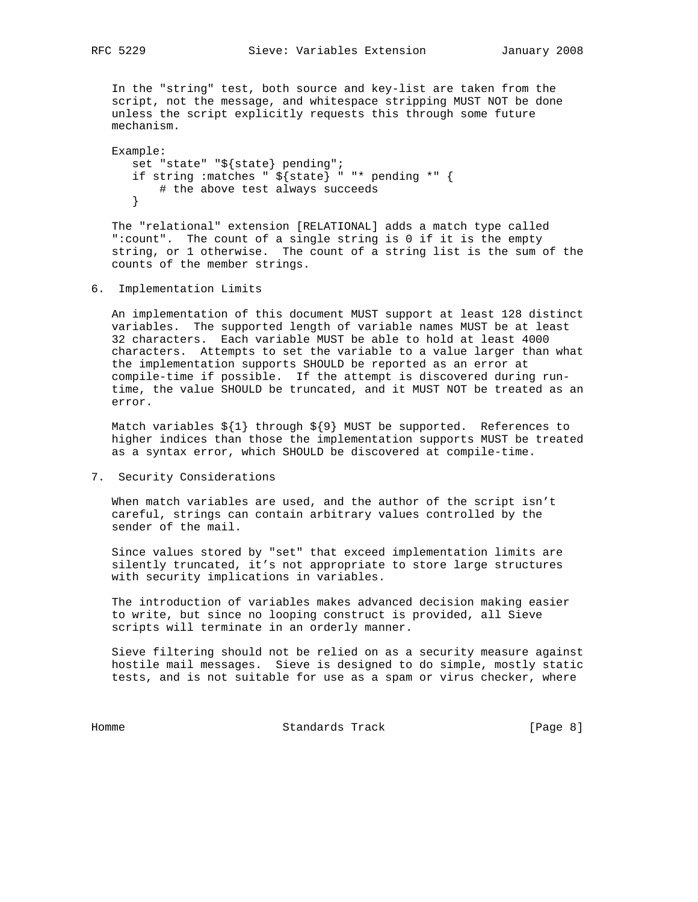In the "string" test, both source and key-list are taken from the script, not the message, and whitespace stripping MUST NOT be done unless the script explicitly requests this through some future mechanism.

```
 Example:
    set "state" "${state} pending";
    if string :matches " ${state} " "* pending *" {
        # the above test always succeeds
    }
```
 The "relational" extension [RELATIONAL] adds a match type called ":count". The count of a single string is 0 if it is the empty string, or 1 otherwise. The count of a string list is the sum of the counts of the member strings.

6. Implementation Limits

 An implementation of this document MUST support at least 128 distinct variables. The supported length of variable names MUST be at least 32 characters. Each variable MUST be able to hold at least 4000 characters. Attempts to set the variable to a value larger than what the implementation supports SHOULD be reported as an error at compile-time if possible. If the attempt is discovered during run time, the value SHOULD be truncated, and it MUST NOT be treated as an error.

Match variables  $\S{1}$  through  $\S{9}$  MUST be supported. References to higher indices than those the implementation supports MUST be treated as a syntax error, which SHOULD be discovered at compile-time.

7. Security Considerations

 When match variables are used, and the author of the script isn't careful, strings can contain arbitrary values controlled by the sender of the mail.

 Since values stored by "set" that exceed implementation limits are silently truncated, it's not appropriate to store large structures with security implications in variables.

 The introduction of variables makes advanced decision making easier to write, but since no looping construct is provided, all Sieve scripts will terminate in an orderly manner.

 Sieve filtering should not be relied on as a security measure against hostile mail messages. Sieve is designed to do simple, mostly static tests, and is not suitable for use as a spam or virus checker, where

Homme Standards Track [Page 8]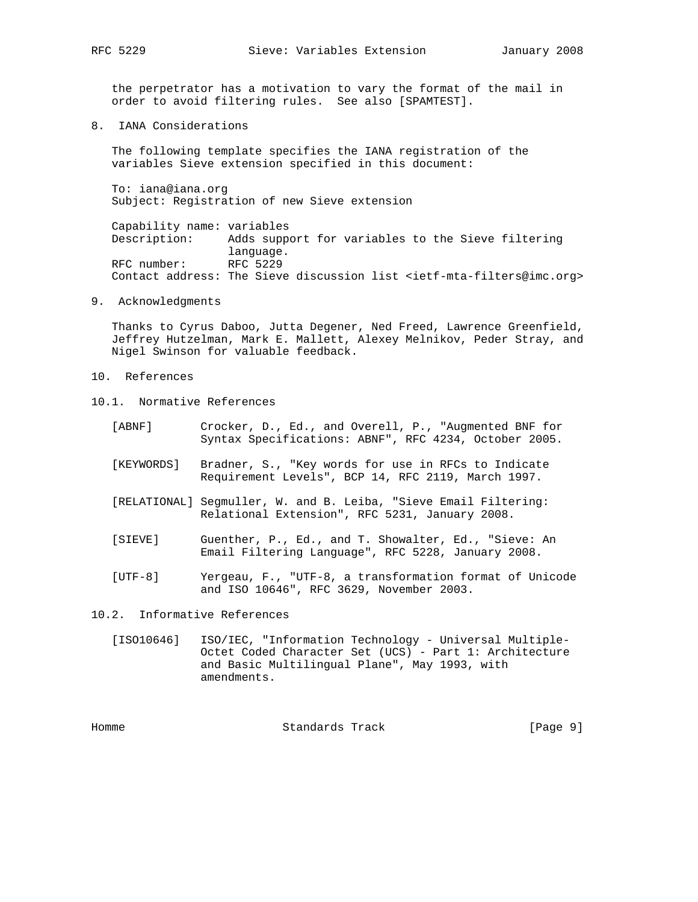the perpetrator has a motivation to vary the format of the mail in order to avoid filtering rules. See also [SPAMTEST].

8. IANA Considerations

 The following template specifies the IANA registration of the variables Sieve extension specified in this document:

 To: iana@iana.org Subject: Registration of new Sieve extension

 Capability name: variables Description: Adds support for variables to the Sieve filtering language. RFC number: RFC 5229 Contact address: The Sieve discussion list <ietf-mta-filters@imc.org>

9. Acknowledgments

 Thanks to Cyrus Daboo, Jutta Degener, Ned Freed, Lawrence Greenfield, Jeffrey Hutzelman, Mark E. Mallett, Alexey Melnikov, Peder Stray, and Nigel Swinson for valuable feedback.

- 10. References
- 10.1. Normative References
	- [ABNF] Crocker, D., Ed., and Overell, P., "Augmented BNF for Syntax Specifications: ABNF", RFC 4234, October 2005.
	- [KEYWORDS] Bradner, S., "Key words for use in RFCs to Indicate Requirement Levels", BCP 14, RFC 2119, March 1997.
	- [RELATIONAL] Segmuller, W. and B. Leiba, "Sieve Email Filtering: Relational Extension", RFC 5231, January 2008.
	- [SIEVE] Guenther, P., Ed., and T. Showalter, Ed., "Sieve: An Email Filtering Language", RFC 5228, January 2008.
	- [UTF-8] Yergeau, F., "UTF-8, a transformation format of Unicode and ISO 10646", RFC 3629, November 2003.

10.2. Informative References

 [ISO10646] ISO/IEC, "Information Technology - Universal Multiple- Octet Coded Character Set (UCS) - Part 1: Architecture and Basic Multilingual Plane", May 1993, with amendments.

Homme **Standards Track** [Page 9]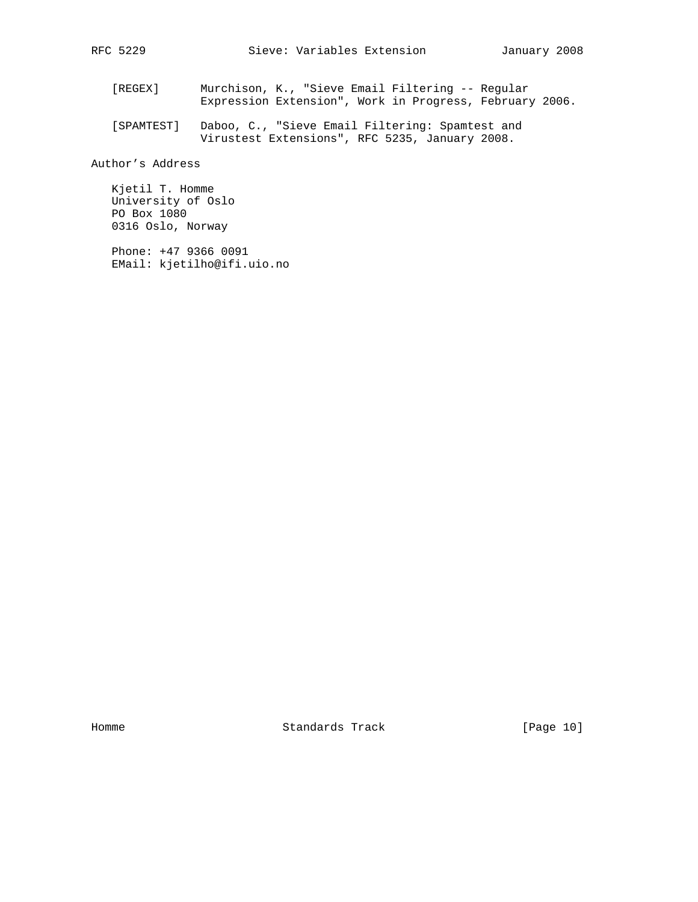- [REGEX] Murchison, K., "Sieve Email Filtering -- Regular Expression Extension", Work in Progress, February 2006.
- [SPAMTEST] Daboo, C., "Sieve Email Filtering: Spamtest and Virustest Extensions", RFC 5235, January 2008.

Author's Address

 Kjetil T. Homme University of Oslo PO Box 1080 0316 Oslo, Norway

 Phone: +47 9366 0091 EMail: kjetilho@ifi.uio.no

Homme Standards Track [Page 10]